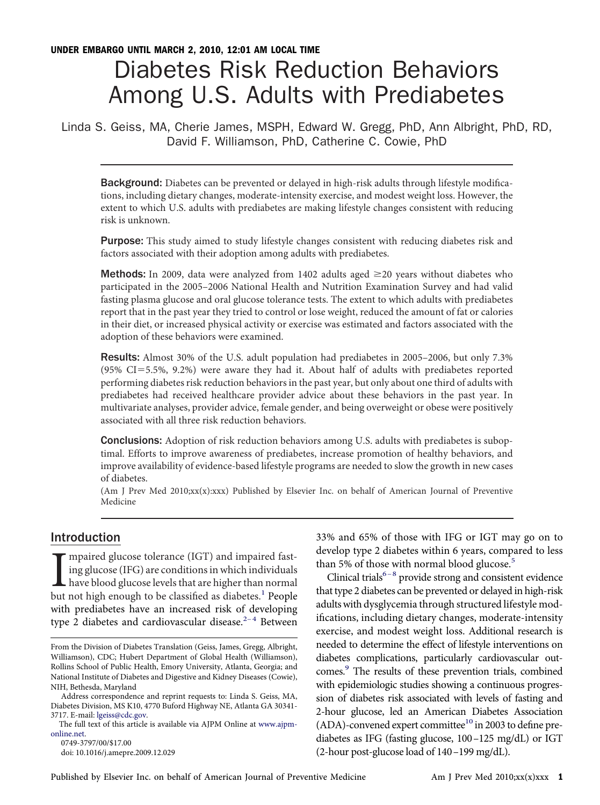# Diabetes Risk Reduction Behaviors Among U.S. Adults with Prediabetes

Linda S. Geiss, MA, Cherie James, MSPH, Edward W. Gregg, PhD, Ann Albright, PhD, RD, David F. Williamson, PhD, Catherine C. Cowie, PhD

Background: Diabetes can be prevented or delayed in high-risk adults through lifestyle modifıcations, including dietary changes, moderate-intensity exercise, and modest weight loss. However, the extent to which U.S. adults with prediabetes are making lifestyle changes consistent with reducing risk is unknown.

Purpose: This study aimed to study lifestyle changes consistent with reducing diabetes risk and factors associated with their adoption among adults with prediabetes.

**Methods:** In 2009, data were analyzed from 1402 adults aged  $\geq$ 20 years without diabetes who participated in the 2005–2006 National Health and Nutrition Examination Survey and had valid fasting plasma glucose and oral glucose tolerance tests. The extent to which adults with prediabetes report that in the past year they tried to control or lose weight, reduced the amount of fat or calories in their diet, or increased physical activity or exercise was estimated and factors associated with the adoption of these behaviors were examined.

Results: Almost 30% of the U.S. adult population had prediabetes in 2005–2006, but only 7.3%  $(95\% \text{ CI} = 5.5\%, 9.2\%)$  were aware they had it. About half of adults with prediabetes reported performing diabetes risk reduction behaviors in the past year, but only about one third of adults with prediabetes had received healthcare provider advice about these behaviors in the past year. In multivariate analyses, provider advice, female gender, and being overweight or obese were positively associated with all three risk reduction behaviors.

Conclusions: Adoption of risk reduction behaviors among U.S. adults with prediabetes is suboptimal. Efforts to improve awareness of prediabetes, increase promotion of healthy behaviors, and improve availability of evidence-based lifestyle programs are needed to slow the growth in new cases of diabetes.

(Am J Prev Med 2010;xx(x):xxx) Published by Elsevier Inc. on behalf of American Journal of Preventive Medicine

## Introduction

I<br>but mpaired glucose tolerance (IGT) and impaired fasting glucose (IFG) are conditions in which individuals have blood glucose levels that are higher than normal but not high enough to be classified as diabetes.<sup>[1](#page-5-0)</sup> People with prediabetes have an increased risk of developing type 2 diabetes and cardiovascular disease.<sup>2-4</sup> Between

0749-3797/00/\$17.00 doi: 10.1016/j.amepre.2009.12.029 33% and 65% of those with IFG or IGT may go on to develop type 2 diabetes within 6 years, compared to less than [5](#page-6-0)% of those with normal blood glucose.<sup>5</sup>

Clinical trials<sup>6-8</sup> provide strong and consistent evidence that type 2 diabetes can be prevented or delayed in high-risk adults with dysglycemia through structured lifestyle modifıcations, including dietary changes, moderate-intensity exercise, and modest weight loss. Additional research is needed to determine the effect of lifestyle interventions on diabetes complications, particularly cardiovascular outcomes[.9](#page-6-0) The results of these prevention trials, combined with epidemiologic studies showing a continuous progression of diabetes risk associated with levels of fasting and 2-hour glucose, led an American Diabetes Association (ADA)-convened expert committee<sup>10</sup> in 2003 to define prediabetes as IFG (fasting glucose, 100–125 mg/dL) or IGT (2-hour post-glucose load of 140–199 mg/dL).

From the Division of Diabetes Translation (Geiss, James, Gregg, Albright, Williamson), CDC; Hubert Department of Global Health (Williamson), Rollins School of Public Health, Emory University, Atlanta, Georgia; and National Institute of Diabetes and Digestive and Kidney Diseases (Cowie), NIH, Bethesda, Maryland

Address correspondence and reprint requests to: Linda S. Geiss, MA, Diabetes Division, MS K10, 4770 Buford Highway NE, Atlanta GA 30341- 3717. E-mail: [lgeiss@cdc.gov.](mailto:lgeiss@cdc.gov)

The full text of this article is available via AJPM Online at [www.ajpm](http://www.ajpm-online.net)[online.net.](http://www.ajpm-online.net)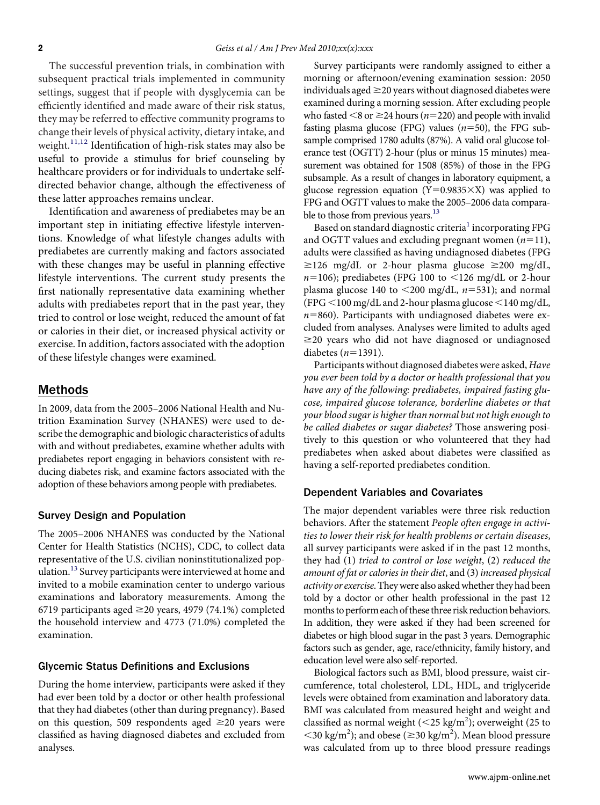The successful prevention trials, in combination with subsequent practical trials implemented in community settings, suggest that if people with dysglycemia can be effıciently identifıed and made aware of their risk status, they may be referred to effective community programs to change their levels of physical activity, dietary intake, and weight.<sup>[11,12](#page-6-0)</sup> Identification of high-risk states may also be useful to provide a stimulus for brief counseling by healthcare providers or for individuals to undertake selfdirected behavior change, although the effectiveness of these latter approaches remains unclear.

Identifıcation and awareness of prediabetes may be an important step in initiating effective lifestyle interventions. Knowledge of what lifestyle changes adults with prediabetes are currently making and factors associated with these changes may be useful in planning effective lifestyle interventions. The current study presents the fırst nationally representative data examining whether adults with prediabetes report that in the past year, they tried to control or lose weight, reduced the amount of fat or calories in their diet, or increased physical activity or exercise. In addition, factors associated with the adoption of these lifestyle changes were examined.

#### Methods

In 2009, data from the 2005–2006 National Health and Nutrition Examination Survey (NHANES) were used to describe the demographic and biologic characteristics of adults with and without prediabetes, examine whether adults with prediabetes report engaging in behaviors consistent with reducing diabetes risk, and examine factors associated with the adoption of these behaviors among people with prediabetes.

#### Survey Design and Population

The 2005–2006 NHANES was conducted by the National Center for Health Statistics (NCHS), CDC, to collect data representative of the U.S. civilian noninstitutionalized pop-ulation.<sup>[13](#page-6-0)</sup> Survey participants were interviewed at home and invited to a mobile examination center to undergo various examinations and laboratory measurements. Among the 6719 participants aged  $\geq$ 20 years, 4979 (74.1%) completed the household interview and 4773 (71.0%) completed the examination.

#### Glycemic Status Definitions and Exclusions

During the home interview, participants were asked if they had ever been told by a doctor or other health professional that they had diabetes (other than during pregnancy). Based on this question, 509 respondents aged  $\geq$ 20 years were classifıed as having diagnosed diabetes and excluded from analyses.

Survey participants were randomly assigned to either a morning or afternoon/evening examination session: 2050 individuals aged  $\geq$  20 years without diagnosed diabetes were examined during a morning session. After excluding people who fasted  $\leq$ 8 or  $\geq$ 24 hours (*n*=220) and people with invalid fasting plasma glucose (FPG) values  $(n=50)$ , the FPG subsample comprised 1780 adults (87%). A valid oral glucose tolerance test (OGTT) 2-hour (plus or minus 15 minutes) measurement was obtained for 1508 (85%) of those in the FPG subsample. As a result of changes in laboratory equipment, a glucose regression equation (Y=0.9835 $\times$ X) was applied to FPG and OGTT values to make the 2005–2006 data comparable to those from previous years.<sup>13</sup>

Based on standard diagnostic criteria<sup>[1](#page-5-0)</sup> incorporating FPG and OGTT values and excluding pregnant women  $(n=11)$ , adults were classifıed as having undiagnosed diabetes (FPG  $\geq$ 126 mg/dL or 2-hour plasma glucose  $\geq$ 200 mg/dL,  $n=106$ ); prediabetes (FPG 100 to  $\leq$ 126 mg/dL or 2-hour plasma glucose  $140$  to  $\leq$ 200 mg/dL,  $n$ =531); and normal (FPG <100 mg/dL and 2-hour plasma glucose <140 mg/dL,  $n=860$ ). Participants with undiagnosed diabetes were excluded from analyses. Analyses were limited to adults aged  $\geq$ 20 years who did not have diagnosed or undiagnosed diabetes  $(n=1391)$ .

Participants without diagnosed diabetes were asked, *Have you ever been told by a doctor or health professional that you have any of the following: prediabetes, impaired fasting glucose, impaired glucose tolerance, borderline diabetes or that your blood sugar is higher than normal but not high enough to be called diabetes or sugar diabetes?* Those answering positively to this question or who volunteered that they had prediabetes when asked about diabetes were classifıed as having a self-reported prediabetes condition.

#### Dependent Variables and Covariates

The major dependent variables were three risk reduction behaviors. After the statement *People often engage in activities to lower their risk for health problems or certain diseases*, all survey participants were asked if in the past 12 months, they had (1) *tried to control or lose weight*, (2) *reduced the amount of fat or calories in their diet*, and (3) *increased physical activity or exercise*. Theywere also askedwhether they had been told by a doctor or other health professional in the past 12 months to perform each of these three risk reduction behaviors. In addition, they were asked if they had been screened for diabetes or high blood sugar in the past 3 years. Demographic factors such as gender, age, race/ethnicity, family history, and education level were also self-reported.

Biological factors such as BMI, blood pressure, waist circumference, total cholesterol, LDL, HDL, and triglyceride levels were obtained from examination and laboratory data. BMI was calculated from measured height and weight and classified as normal weight (<25 kg/m<sup>2</sup>); overweight (25 to  $\langle$  <30 kg/m<sup>2</sup>); and obese ( $\geq$ 30 kg/m<sup>2</sup>). Mean blood pressure was calculated from up to three blood pressure readings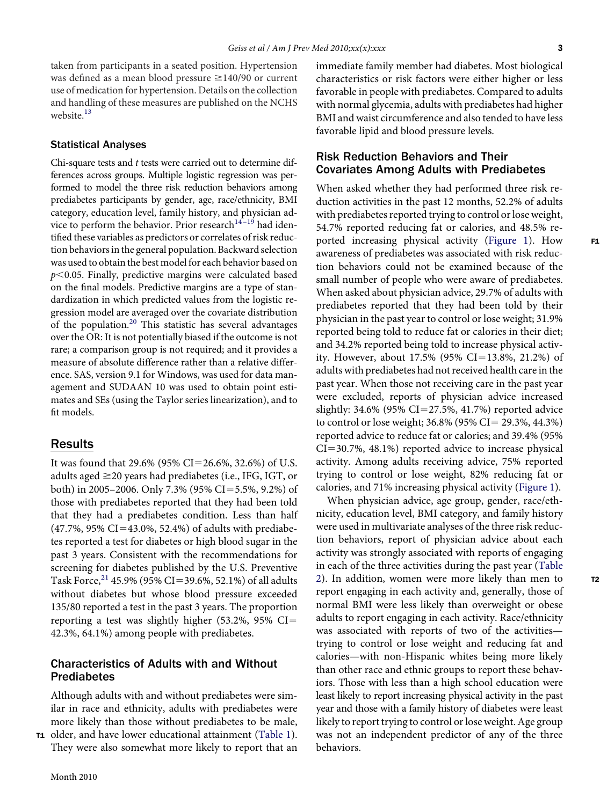taken from participants in a seated position. Hypertension was defined as a mean blood pressure  $\geq$ 140/90 or current use of medication for hypertension. Details on the collection and handling of these measures are published on the NCHS website.<sup>[13](#page-6-0)</sup>

#### Statistical Analyses

Chi-square tests and *t* tests were carried out to determine differences across groups. Multiple logistic regression was performed to model the three risk reduction behaviors among prediabetes participants by gender, age, race/ethnicity, BMI category, education level, family history, and physician advice to perform the behavior. Prior research $14-19$  had identifıed these variables as predictors or correlates of risk reduction behaviors in the general population. Backward selection was used to obtain the best model for each behavior based on  $p<$  0.05. Finally, predictive margins were calculated based on the fınal models. Predictive margins are a type of standardization in which predicted values from the logistic regression model are averaged over the covariate distribution of the population.<sup>[20](#page-6-0)</sup> This statistic has several advantages over the OR: It is not potentially biased if the outcome is not rare; a comparison group is not required; and it provides a measure of absolute difference rather than a relative difference. SAS, version 9.1 for Windows, was used for data management and SUDAAN 10 was used to obtain point estimates and SEs (using the Taylor series linearization), and to fıt models.

## Results

It was found that 29.6% (95% CI=26.6%, 32.6%) of U.S. adults aged  $\geq$ 20 years had prediabetes (i.e., IFG, IGT, or both) in 2005–2006. Only 7.3% (95% CI=5.5%, 9.2%) of those with prediabetes reported that they had been told that they had a prediabetes condition. Less than half  $(47.7\%, 95\% CI = 43.0\%, 52.4\%)$  of adults with prediabetes reported a test for diabetes or high blood sugar in the past 3 years. Consistent with the recommendations for screening for diabetes published by the U.S. Preventive Task Force,  $^{21}$  $^{21}$  $^{21}$  45.9% (95% CI=39.6%, 52.1%) of all adults without diabetes but whose blood pressure exceeded 135/80 reported a test in the past 3 years. The proportion reporting a test was slightly higher (53.2%, 95% CI 42.3%, 64.1%) among people with prediabetes.

## Characteristics of Adults with and Without Prediabetes

Although adults with and without prediabetes were similar in race and ethnicity, adults with prediabetes were more likely than those without prediabetes to be male, **11** older, and have lower educational attainment [\(Table 1\)](#page-3-0).

They were also somewhat more likely to report that an

immediate family member had diabetes. Most biological characteristics or risk factors were either higher or less favorable in people with prediabetes. Compared to adults with normal glycemia, adults with prediabetes had higher BMI and waist circumference and also tended to have less favorable lipid and blood pressure levels.

## Risk Reduction Behaviors and Their Covariates Among Adults with Prediabetes

When asked whether they had performed three risk reduction activities in the past 12 months, 52.2% of adults with prediabetes reported trying to control or lose weight, 54.7% reported reducing fat or calories, and 48.5% reported increasing physical activity [\(Figure 1\)](#page-4-0). How awareness of prediabetes was associated with risk reduction behaviors could not be examined because of the small number of people who were aware of prediabetes. When asked about physician advice, 29.7% of adults with prediabetes reported that they had been told by their physician in the past year to control or lose weight; 31.9% reported being told to reduce fat or calories in their diet; and 34.2% reported being told to increase physical activity. However, about 17.5% (95% CI=13.8%, 21.2%) of adults with prediabetes had not received health care in the past year. When those not receiving care in the past year were excluded, reports of physician advice increased slightly:  $34.6\%$  (95% CI=27.5%, 41.7%) reported advice to control or lose weight;  $36.8\%$  (95% CI = 29.3%, 44.3%) reported advice to reduce fat or calories; and 39.4% (95%  $CI = 30.7\%$ , 48.1%) reported advice to increase physical activity. Among adults receiving advice, 75% reported trying to control or lose weight, 82% reducing fat or calories, and 71% increasing physical activity [\(Figure 1\)](#page-4-0).

When physician advice, age group, gender, race/ethnicity, education level, BMI category, and family history were used in multivariate analyses of the three risk reduction behaviors, report of physician advice about each activity was strongly associated with reports of engaging in each of the three activities during the past year [\(Table](#page-5-0) [2\)](#page-5-0). In addition, women were more likely than men to report engaging in each activity and, generally, those of normal BMI were less likely than overweight or obese adults to report engaging in each activity. Race/ethnicity was associated with reports of two of the activities trying to control or lose weight and reducing fat and calories—with non-Hispanic whites being more likely than other race and ethnic groups to report these behaviors. Those with less than a high school education were least likely to report increasing physical activity in the past year and those with a family history of diabetes were least likely to report trying to control or lose weight. Age group was not an independent predictor of any of the three behaviors.

F1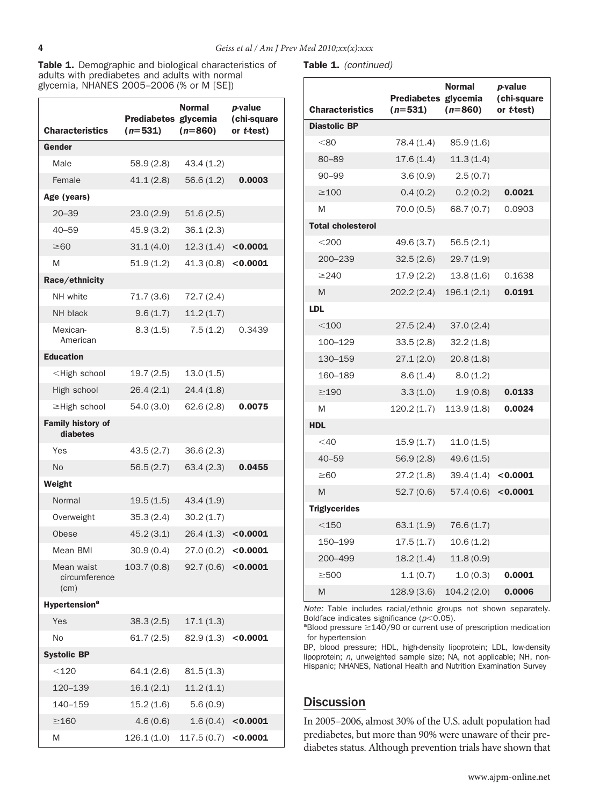<span id="page-3-0"></span>Table 1. Demographic and biological characteristics of adults with prediabetes and adults with normal glycemia, NHANES 2005–2006 (% or M [SE])

| <b>Characteristics</b>                                                      | Prediabetes glycemia<br>$(n=531)$ | <b>Normal</b><br>$(n=860)$ | <i>p</i> -value<br>(chi-square<br>or t-test) |
|-----------------------------------------------------------------------------|-----------------------------------|----------------------------|----------------------------------------------|
| Gender                                                                      |                                   |                            |                                              |
| Male                                                                        | 58.9(2.8)                         | 43.4(1.2)                  |                                              |
| Female                                                                      | 41.1(2.8)                         | 56.6(1.2)                  | 0.0003                                       |
| Age (years)                                                                 |                                   |                            |                                              |
| $20 - 39$                                                                   | 23.0(2.9)                         | 51.6(2.5)                  |                                              |
| $40 - 59$                                                                   | 45.9 (3.2)                        | 36.1(2.3)                  |                                              |
| $\geq 60$                                                                   | 31.1(4.0)                         | 12.3(1.4)                  | < 0.0001                                     |
| M                                                                           | 51.9(1.2)                         | 41.3(0.8)                  | < 0.0001                                     |
| Race/ethnicity                                                              |                                   |                            |                                              |
| NH white                                                                    | 71.7(3.6)                         | 72.7(2.4)                  |                                              |
| NH black                                                                    | 9.6(1.7)                          | 11.2(1.7)                  |                                              |
| Mexican-<br>American                                                        | 8.3(1.5)                          | 7.5(1.2)                   | 0.3439                                       |
| <b>Education</b>                                                            |                                   |                            |                                              |
| <high school<="" td=""><td>19.7(2.5)</td><td>13.0(1.5)</td><td></td></high> | 19.7(2.5)                         | 13.0(1.5)                  |                                              |
| High school                                                                 | 26.4(2.1)                         | 24.4(1.8)                  |                                              |
| ≥High school                                                                | 54.0(3.0)                         | 62.6(2.8)                  | 0.0075                                       |
| <b>Family history of</b><br>diabetes                                        |                                   |                            |                                              |
| Yes                                                                         | 43.5(2.7)                         | 36.6(2.3)                  |                                              |
| <b>No</b>                                                                   | 56.5(2.7)                         | 63.4(2.3)                  | 0.0455                                       |
| Weight                                                                      |                                   |                            |                                              |
| Normal                                                                      | 19.5(1.5)                         | 43.4(1.9)                  |                                              |
| Overweight                                                                  | 35.3(2.4)                         | 30.2(1.7)                  |                                              |
| Obese                                                                       | 45.2(3.1)                         | 26.4(1.3)                  | < 0.0001                                     |
| Mean BMI                                                                    | 30.9(0.4)                         | 27.0(0.2)                  | < 0.0001                                     |
| Mean waist<br>circumference<br>(cm)                                         | 103.7 (0.8)                       | $92.7(0.6)$ <0.0001        |                                              |
| <b>Hypertension<sup>a</sup></b>                                             |                                   |                            |                                              |
| Yes                                                                         | 38.3(2.5)                         | 17.1(1.3)                  |                                              |
| No                                                                          | 61.7(2.5)                         | $82.9(1.3)$ <0.0001        |                                              |
| <b>Systolic BP</b>                                                          |                                   |                            |                                              |
| $<$ 120                                                                     | 64.1 (2.6)                        | 81.5(1.3)                  |                                              |
| 120–139                                                                     | 16.1(2.1)                         | 11.2(1.1)                  |                                              |
| 140–159                                                                     | 15.2(1.6)                         | 5.6(0.9)                   |                                              |
| $\geq$ 160                                                                  | 4.6(0.6)                          | 1.6(0.4)                   | < 0.0001                                     |
| M                                                                           | 126.1(1.0)                        | 117.5 (0.7)                | < 0.0001                                     |

Table 1. *(continued)*

| <b>Characteristics</b>   | Prediabetes glycemia<br>$(n=531)$ | <b>Normal</b><br>$(n=860)$ | <i>p</i> -value<br>(chi-square<br>or <i>t</i> -test) |
|--------------------------|-----------------------------------|----------------------------|------------------------------------------------------|
| <b>Diastolic BP</b>      |                                   |                            |                                                      |
| < 80                     | 78.4 (1.4)                        | 85.9(1.6)                  |                                                      |
| 80–89                    | 17.6 (1.4)                        | 11.3(1.4)                  |                                                      |
| $90 - 99$                | 3.6(0.9)                          | 2.5(0.7)                   |                                                      |
| $\geq$ 100               | 0.4(0.2)                          | 0.2(0.2)                   | 0.0021                                               |
| M                        | 70.0 (0.5)                        | 68.7 (0.7)                 | 0.0903                                               |
| <b>Total cholesterol</b> |                                   |                            |                                                      |
| $<$ 200                  | 49.6 (3.7)                        | 56.5(2.1)                  |                                                      |
| 200-239                  | 32.5(2.6)                         | 29.7(1.9)                  |                                                      |
| $\geq$ 240               | 17.9 (2.2)                        | 13.8 (1.6)                 | 0.1638                                               |
| M                        | 202.2 (2.4)                       | 196.1(2.1)                 | 0.0191                                               |
| <b>LDL</b>               |                                   |                            |                                                      |
| $<$ 100                  | 27.5(2.4)                         | 37.0(2.4)                  |                                                      |
| 100-129                  | 33.5(2.8)                         | 32.2(1.8)                  |                                                      |
| 130-159                  | 27.1(2.0)                         | 20.8(1.8)                  |                                                      |
| 160-189                  | 8.6(1.4)                          | 8.0(1.2)                   |                                                      |
| $\geq$ 190               | 3.3(1.0)                          | 1.9(0.8)                   | 0.0133                                               |
| M                        | 120.2 (1.7)                       | 113.9(1.8)                 | 0.0024                                               |
| <b>HDL</b>               |                                   |                            |                                                      |
| $<$ 40                   | 15.9 (1.7)                        | 11.0(1.5)                  |                                                      |
| $40 - 59$                | 56.9 (2.8)                        | 49.6(1.5)                  |                                                      |
| $\geq 60$                | 27.2 (1.8)                        | 39.4 (1.4)                 | < 0.0001                                             |
| M                        | 52.7 (0.6)                        | 57.4 (0.6) <0.0001         |                                                      |
| <b>Triglycerides</b>     |                                   |                            |                                                      |
| $<$ 150                  | 63.1(1.9)                         | 76.6 (1.7)                 |                                                      |
| 150-199                  | 17.5 (1.7)                        | 10.6(1.2)                  |                                                      |
| 200-499                  | 18.2(1.4)                         | 11.8(0.9)                  |                                                      |
| $\geq$ 500               | 1.1(0.7)                          | 1.0(0.3)                   | 0.0001                                               |
| M                        | 128.9 (3.6)                       | 104.2(2.0)                 | 0.0006                                               |

*Note:* Table includes racial/ethnic groups not shown separately. Boldface indicates significance (*p*<0.05).<br><sup>a</sup>Blood pressure >140/90 or surrent use.

 $a$ Blood pressure  $\geq$ 140/90 or current use of prescription medication for hypertension

BP, blood pressure; HDL, high-density lipoprotein; LDL, low-density lipoprotein; *n*, unweighted sample size; NA, not applicable; NH, non-Hispanic; NHANES, National Health and Nutrition Examination Survey

# Discussion

In 2005–2006, almost 30% of the U.S. adult population had prediabetes, but more than 90% were unaware of their prediabetes status. Although prevention trials have shown that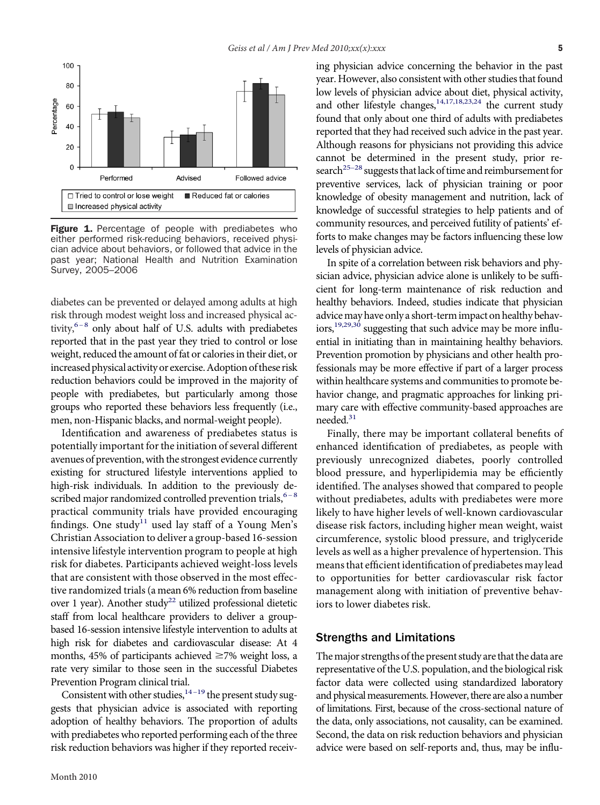<span id="page-4-0"></span>

Figure 1. Percentage of people with prediabetes who either performed risk-reducing behaviors, received physician advice about behaviors, or followed that advice in the past year; National Health and Nutrition Examination Survey, 2005–2006

diabetes can be prevented or delayed among adults at high risk through modest weight loss and increased physical activity, $6-8$  only about half of U.S. adults with prediabetes reported that in the past year they tried to control or lose weight, reduced the amount of fat or calories in their diet, or increased physical activity or exercise. Adoption of these risk reduction behaviors could be improved in the majority of people with prediabetes, but particularly among those groups who reported these behaviors less frequently (i.e., men, non-Hispanic blacks, and normal-weight people).

Identifıcation and awareness of prediabetes status is potentially important for the initiation of several different avenues of prevention, with the strongest evidence currently existing for structured lifestyle interventions applied to high-risk individuals. In addition to the previously described major randomized controlled prevention trials,  $6-8$ practical community trials have provided encouraging findings. One study<sup>[11](#page-6-0)</sup> used lay staff of a Young Men's Christian Association to deliver a group-based 16-session intensive lifestyle intervention program to people at high risk for diabetes. Participants achieved weight-loss levels that are consistent with those observed in the most effective randomized trials (a mean 6% reduction from baseline over 1 year). Another study<sup>22</sup> utilized professional dietetic staff from local healthcare providers to deliver a groupbased 16-session intensive lifestyle intervention to adults at high risk for diabetes and cardiovascular disease: At 4 months, 45% of participants achieved  $\geq$ 7% weight loss, a rate very similar to those seen in the successful Diabetes Prevention Program clinical trial.

Consistent with other studies,  $14-19$  the present study suggests that physician advice is associated with reporting adoption of healthy behaviors. The proportion of adults with prediabetes who reported performing each of the three risk reduction behaviors was higher if they reported receiving physician advice concerning the behavior in the past year. However, also consistent with other studies that found low levels of physician advice about diet, physical activity, and other lifestyle changes,  $14,17,18,23,24$  the current study found that only about one third of adults with prediabetes reported that they had received such advice in the past year. Although reasons for physicians not providing this advice cannot be determined in the present study, prior research<sup>25-28</sup> suggests that lack of time and reimbursement for preventive services, lack of physician training or poor knowledge of obesity management and nutrition, lack of knowledge of successful strategies to help patients and of community resources, and perceived futility of patients' efforts to make changes may be factors influencing these low levels of physician advice.

In spite of a correlation between risk behaviors and physician advice, physician advice alone is unlikely to be suffıcient for long-term maintenance of risk reduction and healthy behaviors. Indeed, studies indicate that physician advice may have only a short-term impact on healthy behaviors,<sup>19,29,30</sup> suggesting that such advice may be more influential in initiating than in maintaining healthy behaviors. Prevention promotion by physicians and other health professionals may be more effective if part of a larger process within healthcare systems and communities to promote behavior change, and pragmatic approaches for linking primary care with effective community-based approaches are needed.<sup>31</sup>

Finally, there may be important collateral benefıts of enhanced identifıcation of prediabetes, as people with previously unrecognized diabetes, poorly controlled blood pressure, and hyperlipidemia may be effıciently identifıed. The analyses showed that compared to people without prediabetes, adults with prediabetes were more likely to have higher levels of well-known cardiovascular disease risk factors, including higher mean weight, waist circumference, systolic blood pressure, and triglyceride levels as well as a higher prevalence of hypertension. This means that effıcient identifıcation of prediabetes may lead to opportunities for better cardiovascular risk factor management along with initiation of preventive behaviors to lower diabetes risk.

### Strengths and Limitations

The major strengths of the present study are that the data are representative of the U.S. population, and the biological risk factor data were collected using standardized laboratory and physical measurements. However, there are also a number of limitations. First, because of the cross-sectional nature of the data, only associations, not causality, can be examined. Second, the data on risk reduction behaviors and physician advice were based on self-reports and, thus, may be influ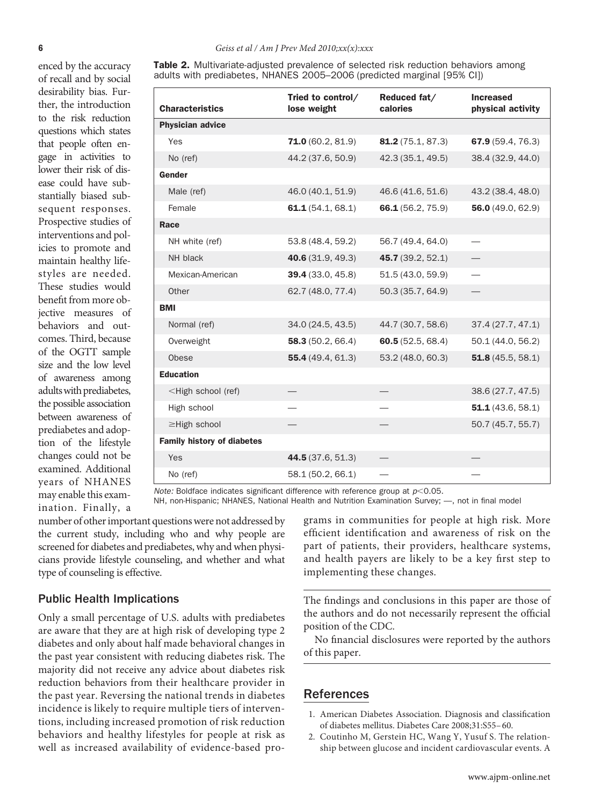<span id="page-5-0"></span>enced by the accuracy of recall and by social desirability bias. Further, the introduction to the risk reduction questions which states that people often engage in activities to lower their risk of disease could have substantially biased subsequent responses. Prospective studies of interventions and policies to promote and maintain healthy lifestyles are needed. These studies would benefıt from more objective measures of behaviors and outcomes. Third, because of the OGTT sample size and the low level of awareness among adults with prediabetes, the possible association between awareness of prediabetes and adoption of the lifestyle changes could not be examined. Additional years of NHANES may enable this examination. Finally, a **Table 2.** Multivariate-adjusted prevalence of selected risk reduction behaviors among adults with prediabetes, NHANES 2005–2006 (predicted marginal [95% CI])

| <b>Characteristics</b>                                                              | Tried to control/<br>lose weight | Reduced fat/<br>calories | <b>Increased</b><br>physical activity |
|-------------------------------------------------------------------------------------|----------------------------------|--------------------------|---------------------------------------|
| <b>Physician advice</b>                                                             |                                  |                          |                                       |
| Yes                                                                                 | 71.0(60.2, 81.9)                 | 81.2 (75.1, 87.3)        | 67.9 (59.4, 76.3)                     |
| No (ref)                                                                            | 44.2 (37.6, 50.9)                | 42.3 (35.1, 49.5)        | 38.4 (32.9, 44.0)                     |
| Gender                                                                              |                                  |                          |                                       |
| Male (ref)                                                                          | 46.0 (40.1, 51.9)                | 46.6 (41.6, 51.6)        | 43.2 (38.4, 48.0)                     |
| Female                                                                              | 61.1(54.1, 68.1)                 | 66.1 (56.2, 75.9)        | 56.0 $(49.0, 62.9)$                   |
| Race                                                                                |                                  |                          |                                       |
| NH white (ref)                                                                      | 53.8 (48.4, 59.2)                | 56.7 (49.4, 64.0)        |                                       |
| NH black                                                                            | 40.6 (31.9, 49.3)                | 45.7 (39.2, 52.1)        |                                       |
| Mexican-American                                                                    | <b>39.4</b> (33.0, 45.8)         | 51.5 (43.0, 59.9)        |                                       |
| Other                                                                               | 62.7 (48.0, 77.4)                | 50.3 (35.7, 64.9)        |                                       |
| <b>BMI</b>                                                                          |                                  |                          |                                       |
| Normal (ref)                                                                        | 34.0 (24.5, 43.5)                | 44.7 (30.7, 58.6)        | 37.4(27.7, 47.1)                      |
| Overweight                                                                          | 58.3 $(50.2, 66.4)$              | 60.5 $(52.5, 68.4)$      | 50.1 (44.0, 56.2)                     |
| Obese                                                                               | 55.4(49.4, 61.3)                 | 53.2 (48.0, 60.3)        | 51.8 $(45.5, 58.1)$                   |
| <b>Education</b>                                                                    |                                  |                          |                                       |
| <high (ref)<="" school="" td=""><td></td><td></td><td>38.6 (27.7, 47.5)</td></high> |                                  |                          | 38.6 (27.7, 47.5)                     |
| High school                                                                         |                                  |                          | 51.1(43.6, 58.1)                      |
| ≥High school                                                                        |                                  |                          | 50.7 (45.7, 55.7)                     |
| <b>Family history of diabetes</b>                                                   |                                  |                          |                                       |
| Yes                                                                                 | 44.5 (37.6, 51.3)                |                          |                                       |
| No (ref)                                                                            | 58.1 (50.2, 66.1)                |                          |                                       |

*Note:* Boldface indicates significant difference with reference group at  $p<0.05$ .

NH, non-Hispanic; NHANES, National Health and Nutrition Examination Survey; —, not in final model

number of other important questions were not addressed by the current study, including who and why people are screened for diabetes and prediabetes, why and when physicians provide lifestyle counseling, and whether and what type of counseling is effective.

#### Public Health Implications

Only a small percentage of U.S. adults with prediabetes are aware that they are at high risk of developing type 2 diabetes and only about half made behavioral changes in the past year consistent with reducing diabetes risk. The majority did not receive any advice about diabetes risk reduction behaviors from their healthcare provider in the past year. Reversing the national trends in diabetes incidence is likely to require multiple tiers of interventions, including increased promotion of risk reduction behaviors and healthy lifestyles for people at risk as well as increased availability of evidence-based programs in communities for people at high risk. More effıcient identifıcation and awareness of risk on the part of patients, their providers, healthcare systems, and health payers are likely to be a key fırst step to implementing these changes.

The findings and conclusions in this paper are those of the authors and do not necessarily represent the offıcial position of the CDC.

No fınancial disclosures were reported by the authors of this paper.

## References

- 1. American Diabetes Association. Diagnosis and classifıcation of diabetes mellitus. Diabetes Care 2008;31:S55–60.
- 2. Coutinho M, Gerstein HC, Wang Y, Yusuf S. The relationship between glucose and incident cardiovascular events. A